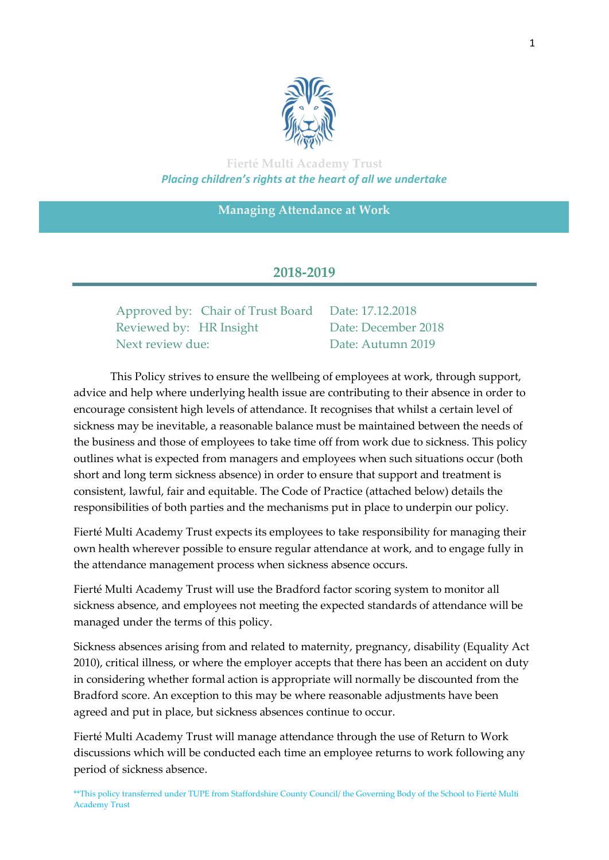

**Fierté Multi Academy Trust** *Placing children's rights at the heart of all we undertake*

**Managing Attendance at Work**

# **2018-2019**

Approved by: Chair of Trust Board Date: 17.12.2018 Reviewed by: HR Insight Date: December 2018 Next review due: Date: Autumn 2019

 This Policy strives to ensure the wellbeing of employees at work, through support, advice and help where underlying health issue are contributing to their absence in order to encourage consistent high levels of attendance. It recognises that whilst a certain level of sickness may be inevitable, a reasonable balance must be maintained between the needs of the business and those of employees to take time off from work due to sickness. This policy outlines what is expected from managers and employees when such situations occur (both short and long term sickness absence) in order to ensure that support and treatment is consistent, lawful, fair and equitable. The Code of Practice (attached below) details the responsibilities of both parties and the mechanisms put in place to underpin our policy.

Fierté Multi Academy Trust expects its employees to take responsibility for managing their own health wherever possible to ensure regular attendance at work, and to engage fully in the attendance management process when sickness absence occurs.

Fierté Multi Academy Trust will use the Bradford factor scoring system to monitor all sickness absence, and employees not meeting the expected standards of attendance will be managed under the terms of this policy.

Sickness absences arising from and related to maternity, pregnancy, disability (Equality Act 2010), critical illness, or where the employer accepts that there has been an accident on duty in considering whether formal action is appropriate will normally be discounted from the Bradford score. An exception to this may be where reasonable adjustments have been agreed and put in place, but sickness absences continue to occur.

Fierté Multi Academy Trust will manage attendance through the use of Return to Work discussions which will be conducted each time an employee returns to work following any period of sickness absence.

\*\*This policy transferred under TUPE from Staffordshire County Council/ the Governing Body of the School to Fierté Multi Academy Trust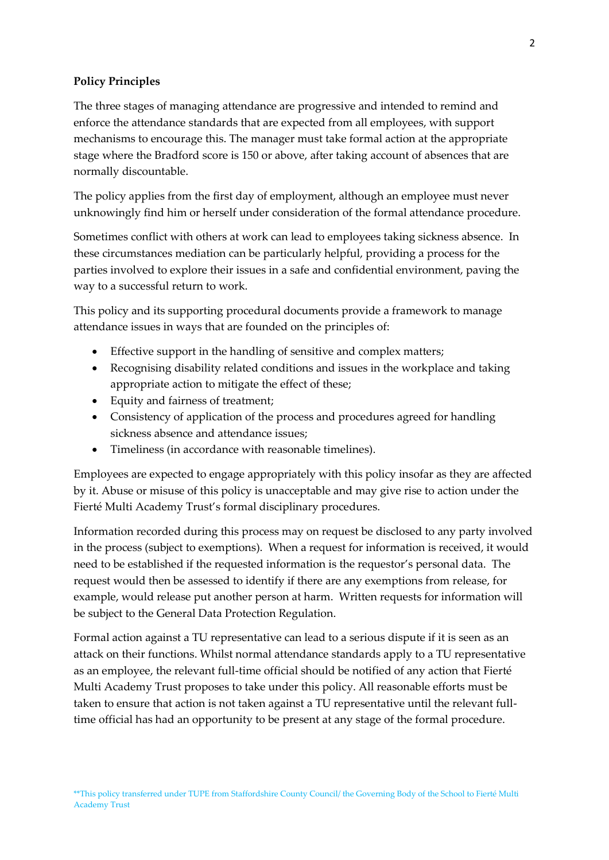## **Policy Principles**

The three stages of managing attendance are progressive and intended to remind and enforce the attendance standards that are expected from all employees, with support mechanisms to encourage this. The manager must take formal action at the appropriate stage where the Bradford score is 150 or above, after taking account of absences that are normally discountable.

The policy applies from the first day of employment, although an employee must never unknowingly find him or herself under consideration of the formal attendance procedure.

Sometimes conflict with others at work can lead to employees taking sickness absence. In these circumstances mediation can be particularly helpful, providing a process for the parties involved to explore their issues in a safe and confidential environment, paving the way to a successful return to work.

This policy and its supporting procedural documents provide a framework to manage attendance issues in ways that are founded on the principles of:

- Effective support in the handling of sensitive and complex matters;
- Recognising disability related conditions and issues in the workplace and taking appropriate action to mitigate the effect of these;
- Equity and fairness of treatment;
- Consistency of application of the process and procedures agreed for handling sickness absence and attendance issues;
- Timeliness (in accordance with reasonable timelines).

Employees are expected to engage appropriately with this policy insofar as they are affected by it. Abuse or misuse of this policy is unacceptable and may give rise to action under the Fierté Multi Academy Trust's formal disciplinary procedures.

Information recorded during this process may on request be disclosed to any party involved in the process (subject to exemptions). When a request for information is received, it would need to be established if the requested information is the requestor's personal data. The request would then be assessed to identify if there are any exemptions from release, for example, would release put another person at harm. Written requests for information will be subject to the General Data Protection Regulation.

Formal action against a TU representative can lead to a serious dispute if it is seen as an attack on their functions. Whilst normal attendance standards apply to a TU representative as an employee, the relevant full-time official should be notified of any action that Fierté Multi Academy Trust proposes to take under this policy. All reasonable efforts must be taken to ensure that action is not taken against a TU representative until the relevant fulltime official has had an opportunity to be present at any stage of the formal procedure.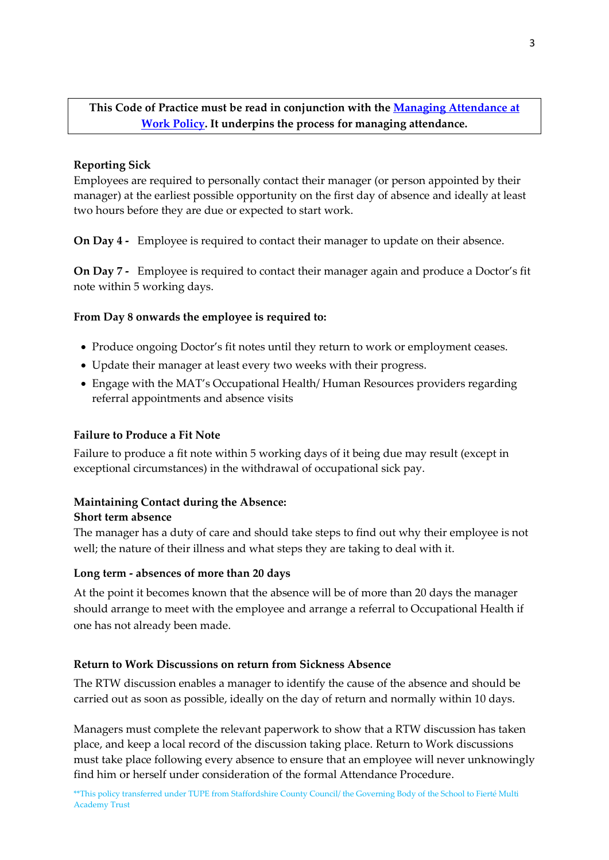# **This Code of Practice must be read in conjunction with the [Managing Attendance at](http://education.staffordshire.gov.uk/NR/rdonlyres/C57A8C12-AD93-4D0A-AA06-B450580F7D1B/165411/PolicyApril20121Schools.doc)  [Work Policy.](http://education.staffordshire.gov.uk/NR/rdonlyres/C57A8C12-AD93-4D0A-AA06-B450580F7D1B/165411/PolicyApril20121Schools.doc) It underpins the process for managing attendance.**

## **Reporting Sick**

Employees are required to personally contact their manager (or person appointed by their manager) at the earliest possible opportunity on the first day of absence and ideally at least two hours before they are due or expected to start work.

**On Day 4 -** Employee is required to contact their manager to update on their absence.

**On Day 7 -** Employee is required to contact their manager again and produce a Doctor's fit note within 5 working days.

## **From Day 8 onwards the employee is required to:**

- Produce ongoing Doctor's fit notes until they return to work or employment ceases.
- Update their manager at least every two weeks with their progress.
- Engage with the MAT's Occupational Health/ Human Resources providers regarding referral appointments and absence visits

## **Failure to Produce a Fit Note**

Failure to produce a fit note within 5 working days of it being due may result (except in exceptional circumstances) in the withdrawal of occupational sick pay.

## **Maintaining Contact during the Absence:**

#### **Short term absence**

The manager has a duty of care and should take steps to find out why their employee is not well; the nature of their illness and what steps they are taking to deal with it.

## **Long term - absences of more than 20 days**

At the point it becomes known that the absence will be of more than 20 days the manager should arrange to meet with the employee and arrange a referral to Occupational Health if one has not already been made.

## **Return to Work Discussions on return from Sickness Absence**

The RTW discussion enables a manager to identify the cause of the absence and should be carried out as soon as possible, ideally on the day of return and normally within 10 days.

Managers must complete the relevant paperwork to show that a RTW discussion has taken place, and keep a local record of the discussion taking place. Return to Work discussions must take place following every absence to ensure that an employee will never unknowingly find him or herself under consideration of the formal Attendance Procedure.

\*\*This policy transferred under TUPE from Staffordshire County Council/ the Governing Body of the School to Fierté Multi Academy Trust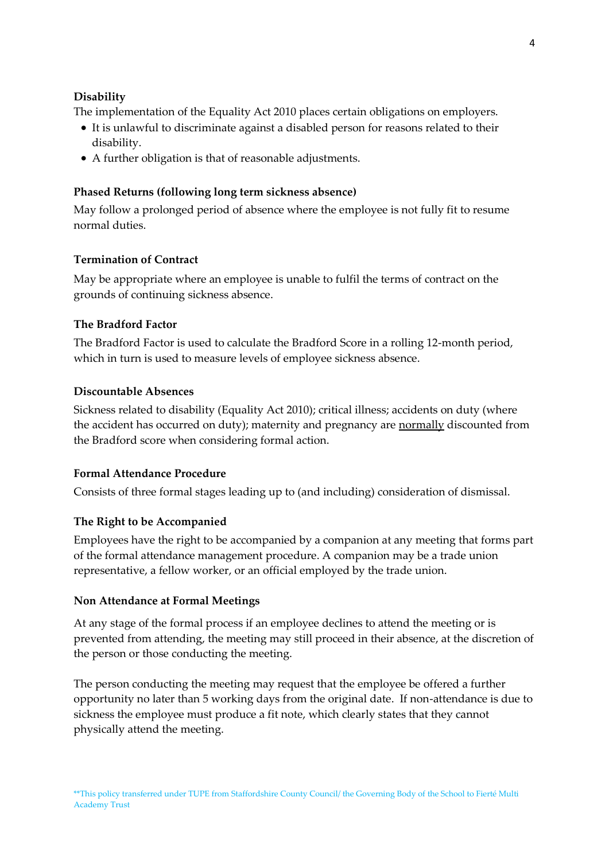## **Disability**

The implementation of the Equality Act 2010 places certain obligations on employers.

- It is unlawful to discriminate against a disabled person for reasons related to their disability.
- A further obligation is that of reasonable adjustments.

## **Phased Returns (following long term sickness absence)**

May follow a prolonged period of absence where the employee is not fully fit to resume normal duties.

### **Termination of Contract**

May be appropriate where an employee is unable to fulfil the terms of contract on the grounds of continuing sickness absence.

### **The Bradford Factor**

The Bradford Factor is used to calculate the Bradford Score in a rolling 12-month period, which in turn is used to measure levels of employee sickness absence.

### **Discountable Absences**

Sickness related to disability (Equality Act 2010); critical illness; accidents on duty (where the accident has occurred on duty); maternity and pregnancy are normally discounted from the Bradford score when considering formal action.

#### **Formal Attendance Procedure**

Consists of three formal stages leading up to (and including) consideration of dismissal.

## **The Right to be Accompanied**

Employees have the right to be accompanied by a companion at any meeting that forms part of the formal attendance management procedure. A companion may be a trade union representative, a fellow worker, or an official employed by the trade union.

#### **Non Attendance at Formal Meetings**

At any stage of the formal process if an employee declines to attend the meeting or is prevented from attending, the meeting may still proceed in their absence, at the discretion of the person or those conducting the meeting.

The person conducting the meeting may request that the employee be offered a further opportunity no later than 5 working days from the original date. If non-attendance is due to sickness the employee must produce a fit note, which clearly states that they cannot physically attend the meeting.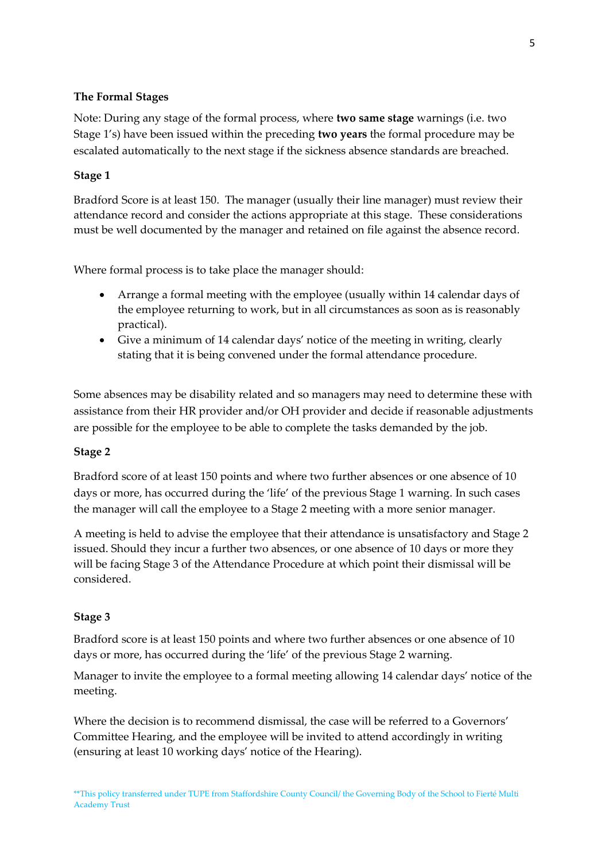# **The Formal Stages**

Note: During any stage of the formal process, where **two same stage** warnings (i.e. two Stage 1's) have been issued within the preceding **two years** the formal procedure may be escalated automatically to the next stage if the sickness absence standards are breached.

## **Stage 1**

Bradford Score is at least 150. The manager (usually their line manager) must review their attendance record and consider the actions appropriate at this stage. These considerations must be well documented by the manager and retained on file against the absence record.

Where formal process is to take place the manager should:

- Arrange a formal meeting with the employee (usually within 14 calendar days of the employee returning to work, but in all circumstances as soon as is reasonably practical).
- Give a minimum of 14 calendar days' notice of the meeting in writing, clearly stating that it is being convened under the formal attendance procedure.

Some absences may be disability related and so managers may need to determine these with assistance from their HR provider and/or OH provider and decide if reasonable adjustments are possible for the employee to be able to complete the tasks demanded by the job.

## **Stage 2**

Bradford score of at least 150 points and where two further absences or one absence of 10 days or more, has occurred during the 'life' of the previous Stage 1 warning. In such cases the manager will call the employee to a Stage 2 meeting with a more senior manager.

A meeting is held to advise the employee that their attendance is unsatisfactory and Stage 2 issued. Should they incur a further two absences, or one absence of 10 days or more they will be facing Stage 3 of the Attendance Procedure at which point their dismissal will be considered.

## **Stage 3**

Bradford score is at least 150 points and where two further absences or one absence of 10 days or more, has occurred during the 'life' of the previous Stage 2 warning.

Manager to invite the employee to a formal meeting allowing 14 calendar days' notice of the meeting.

Where the decision is to recommend dismissal, the case will be referred to a Governors' Committee Hearing, and the employee will be invited to attend accordingly in writing (ensuring at least 10 working days' notice of the Hearing).